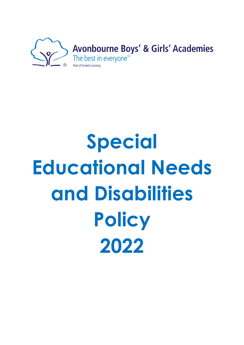

# **Special Educational Needs and Disabilities Policy 2022**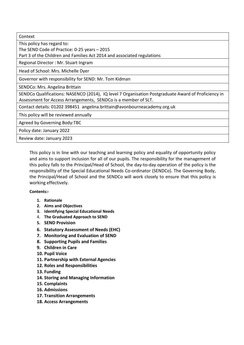| Context                                                                                             |
|-----------------------------------------------------------------------------------------------------|
| This policy has regard to:                                                                          |
| The SEND Code of Practice: 0-25 years - 2015                                                        |
| Part 3 of the Children and Families Act 2014 and associated regulations                             |
| Regional Director: Mr. Stuart Ingram                                                                |
| Head of School: Mrs. Michelle Dyer                                                                  |
| Governor with responsibility for SEND: Mr. Tom Kidman                                               |
| SENDCo: Mrs. Angelina Brittain                                                                      |
| SENDCo Qualifications: NASENCO (2014), IQ level 7 Organisation Postgraduate Award of Proficiency in |
| Assessment for Access Arrangements, SENDCo is a member of SLT.                                      |
| Contact details: 01202 398451 angelina.brittain@avonbourneacademy.org.uk                            |
| This policy will be reviewed annually                                                               |
| Agreed by Governing Body:TBC                                                                        |
| Policy date: January 2022                                                                           |
| Review date: January 2023                                                                           |

This policy is in line with our teaching and learning policy and equality of opportunity policy and aims to support inclusion for all of our pupils. The responsibility for the management of this policy falls to the Principal/Head of School, the day-to-day operation of the policy is the responsibility of the Special Educational Needs Co-ordinator (SENDCo). The Governing Body, the Principal/Head of School and the SENDCo will work closely to ensure that this policy is working effectively.

#### **Contents:-**

- **1. Rationale**
- **2. Aims and Objectives**
- **3. Identifying Special Educational Needs**
- 4. **The Graduated Approach to SEND**
- **5. SEND Provision**
- **6. Statutory Assessment of Needs (EHC)**
- **7. Monitoring and Evaluation of SEND**
- **8. Supporting Pupils and Families**
- **9. Children in Care**
- **10. Pupil Voice**
- **11. Partnership with External Agencies**
- **12. Roles and Responsibilities**
- **13. Funding**
- **14. Storing and Managing Information**
- **15. Complaints**
- **16. Admissions**
- **17. Transition Arrangements**
- **18. Access Arrangements**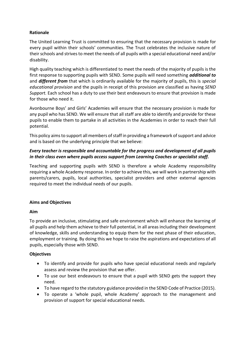## **Rationale**

The United Learning Trust is committed to ensuring that the necessary provision is made for every pupil within their schools' communities. The Trust celebrates the inclusive nature of their schools and strives to meet the needs of all pupils with a special educational need and/or disability.

High quality teaching which is differentiated to meet the needs of the majority of pupils is the first response to supporting pupils with SEND. Some pupils will need something *additional to* and *different from* that which is ordinarily available for the majority of pupils, this is *special educational provision* and the pupils in receipt of this provision are classified as having *SEND Support.* Each school has a duty to use their best endeavours to ensure that provision is made for those who need it.

Avonbourne Boys' and Girls' Academies will ensure that the necessary provision is made for any pupil who has SEND. We will ensure that all staff are able to identify and provide for these pupils to enable them to partake in all activities in the Academies in order to reach their full potential.

This policy aims to support all members of staff in providing a framework of support and advice and is based on the underlying principle that we believe:

#### *Every teacher is responsible and accountable for the progress and development of all pupils in their class even where pupils access support from Learning Coaches or specialist staff.*

Teaching and supporting pupils with SEND is therefore a whole Academy responsibility requiring a whole Academy response. In order to achieve this, we will work in partnership with parents/carers, pupils, local authorities, specialist providers and other external agencies required to meet the individual needs of our pupils.

## **Aims and Objectives**

## **Aim**

To provide an inclusive, stimulating and safe environment which will enhance the learning of all pupils and help them achieve to their full potential, in all areas including their development of knowledge, skills and understanding to equip them for the next phase of their education, employment or training. By doing this we hope to raise the aspirations and expectations of all pupils, especially those with SEND.

## **Objectives**

- To identify and provide for pupils who have special educational needs and regularly assess and review the provision that we offer.
- To use our best endeavours to ensure that a pupil with SEND gets the support they need.
- To have regard to the statutory guidance provided in the SEND Code of Practice (2015).
- To operate a 'whole pupil, whole Academy' approach to the management and provision of support for special educational needs.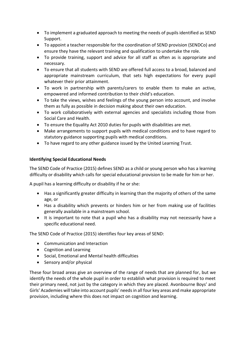- To implement a graduated approach to meeting the needs of pupils identified as SEND Support.
- To appoint a teacher responsible for the coordination of SEND provision (SENDCo) and ensure they have the relevant training and qualification to undertake the role.
- To provide training, support and advice for all staff as often as is appropriate and necessary.
- To ensure that all students with SEND are offered full access to a broad, balanced and appropriate mainstream curriculum, that sets high expectations for every pupil whatever their prior attainment.
- To work in partnership with parents/carers to enable them to make an active, empowered and informed contribution to their child's education.
- To take the views, wishes and feelings of the young person into account, and involve them as fully as possible in decision making about their own education.
- To work collaboratively with external agencies and specialists including those from Social Care and Health.
- To ensure the Equality Act 2010 duties for pupils with disabilities are met.
- Make arrangements to support pupils with medical conditions and to have regard to statutory guidance supporting pupils with medical conditions.
- To have regard to any other guidance issued by the United Learning Trust.

# **Identifying Special Educational Needs**

The SEND Code of Practice (2015) defines SEND as a child or young person who has a learning difficulty or disability which calls for special educational provision to be made for him or her.

A pupil has a learning difficulty or disability if he or she:

- Has a significantly greater difficulty in learning than the majority of others of the same age, or
- Has a disability which prevents or hinders him or her from making use of facilities generally available in a mainstream school.
- It is important to note that a pupil who has a disability may not necessarily have a specific educational need.

The SEND Code of Practice (2015) identifies four key areas of SEND:

- Communication and Interaction
- Cognition and Learning
- Social, Emotional and Mental health difficulties
- Sensory and/or physical

These four broad areas give an overview of the range of needs that are planned for, but we identify the needs of the whole pupil in order to establish what provision is required to meet their primary need, not just by the category in which they are placed. Avonbourne Boys' and Girls' Academies will take into account pupils' needs in all four key areas and make appropriate provision, including where this does not impact on cognition and learning.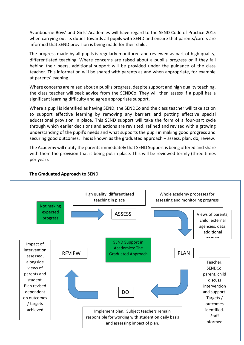Avonbourne Boys' and Girls' Academies will have regard to the SEND Code of Practice 2015 when carrying out its duties towards all pupils with SEND and ensure that parents/carers are informed that SEND provision is being made for their child.

The progress made by all pupils is regularly monitored and reviewed as part of high quality, differentiated teaching. Where concerns are raised about a pupil's progress or if they fall behind their peers, additional support will be provided under the guidance of the class teacher. This information will be shared with parents as and when appropriate, for example at parents' evening.

Where concerns are raised about a pupil's progress, despite support and high quality teaching, the class teacher will seek advice from the SENDCo. They will then assess if a pupil has a significant learning difficulty and agree appropriate support.

Where a pupil is identified as having SEND, the SENDCo and the class teacher will take action to support effective learning by removing any barriers and putting effective special educational provision in place. This SEND support will take the form of a four-part cycle through which earlier decisions and actions are revisited, refined and revised with a growing understanding of the pupil's needs and what supports the pupil in making good progress and securing good outcomes. This is known as the graduated approach – assess, plan, do, review.

The Academy will notify the parents immediately that SEND Support is being offered and share with them the provision that is being put in place. This will be reviewed termly (three times per year).



## **The Graduated Approach to SEND**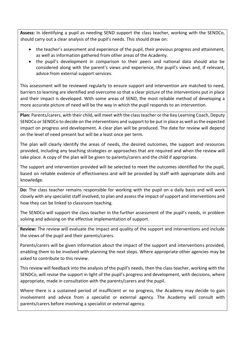**Assess:** In identifying a pupil as needing SEND support the class teacher, working with the SENDCo, should carry out a clear analysis of the pupil's needs. This should draw on:

- the teacher's assessment and experience of the pupil, their previous progress and attainment, as well as information gathered from other areas of the Academy.
- the pupil's development in comparison to their peers and national data should also be considered along with the parent's views and experience, the pupil's views and, if relevant, advice from external support services.

This assessment will be reviewed regularly to ensure support and intervention are matched to need, barriers to learning are identified and overcome so that a clear picture of the interventions put in place and their impact is developed. With some areas of SEND, the most reliable method of developing a more accurate picture of need will be the way in which the pupil responds to an intervention.

**Plan:** Parents/carers, with their child, will meet with the class teacher orthe Key Learning Coach, Deputy SENDCo or SENDCo to decide on the interventions and support to be put in place as well as the expected impact on progress and development. A clear plan will be produced. The date for review will depend on the level of need present but will be a least once per term.

The plan will clearly identify the areas of needs, the desired outcomes, the support and resources provided, including any teaching strategies or approaches that are required and when the review will take place. A copy of the plan will be given to parents/carers and the child if appropriate.

The support and intervention provided will be selected to meet the outcomes identified for the pupil, based on reliable evidence of effectiveness and will be provided by staff with appropriate skills and knowledge.

**Do:** The class teacher remains responsible for working with the pupil on a daily basis and will work closely with any specialist staff involved, to plan and assess the impact of support and interventions and how they can be linked to classroom teaching.

The SENDCo will support the class teacher in the further assessment of the pupil's needs, in problem solving and advising on the effective implementation of support.

**Review:** The review will evaluate the impact and quality of the support and interventions and include the views of the pupil and their parents/carers.

Parents/carers will be given information about the impact of the support and interventions provided, enabling them to be involved with planning the next steps. Where appropriate other agencies may be asked to contribute to this review.

This review will feedback into the analysis of the pupil's needs, then the class teacher, working with the SENDCo, will revise the support in light of the pupil's progress and development, with decisions, where appropriate, made in consultation with the parents/carers and the pupil.

Where there is a sustained period of insufficient or no progress, the Academy may decide to gain involvement and advice from a specialist or external agency. The Academy will consult with parents/carers before involving a specialist or external agency.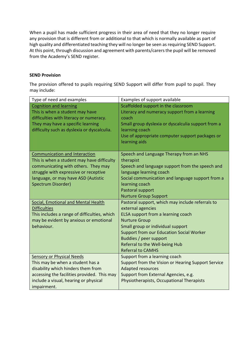When a pupil has made sufficient progress in their area of need that they no longer require any provision that is different from or additional to that which is normally available as part of high quality and differentiated teaching they will no longer be seen as requiring SEND Support. At this point, through discussion and agreement with parents/carers the pupil will be removed from the Academy's SEND register.

#### **SEND Provision**

The provision offered to pupils requiring SEND Support will differ from pupil to pupil. They may include:

| Type of need and examples                                                                                                                                                                                                | Examples of support available                                                                                                                                                                                                                                                                                       |
|--------------------------------------------------------------------------------------------------------------------------------------------------------------------------------------------------------------------------|---------------------------------------------------------------------------------------------------------------------------------------------------------------------------------------------------------------------------------------------------------------------------------------------------------------------|
| <b>Cognition and learning</b><br>This is when a student may have<br>difficulties with literacy or numeracy.<br>They may have a specific learning<br>difficulty such as dyslexia or dyscalculia.                          | Scaffolded support in the classroom<br>Literacy and numeracy support from a learning<br>coach<br>Small group dyslexia or dyscalculia support from a<br>learning coach<br>Use of appropriate computer support packages or<br>learning aids                                                                           |
| Communication and Interaction<br>This is when a student may have difficulty<br>communicating with others. They may<br>struggle with expressive or receptive<br>language, or may have ASD (Autistic<br>Spectrum Disorder) | Speech and Language Therapy from an NHS<br>therapist<br>Speech and language support from the speech and<br>language learning coach<br>Social communication and language support from a<br>learning coach<br>Pastoral support<br><b>Nurture Group Support</b>                                                        |
| Social, Emotional and Mental Health<br><b>Difficulties</b><br>This includes a range of difficulties, which<br>may be evident by anxious or emotional<br>behaviour.                                                       | Pastoral support, which may include referrals to<br>external agencies<br>ELSA support from a learning coach<br><b>Nurture Group</b><br>Small group or individual support<br><b>Support from our Education Social Worker</b><br>Buddies / peer support<br>Referral to the Well-being Hub<br><b>Referral to CAMHS</b> |
| <b>Sensory or Physical Needs</b><br>This may be when a student has a<br>disability which hinders them from<br>accessing the facilities provided. This may<br>include a visual, hearing or physical<br>impairment.        | Support from a learning coach<br>Support from the Vision or Hearing Support Service<br><b>Adapted resources</b><br>Support from External Agencies, e.g.<br>Physiotherapists, Occupational Therapists                                                                                                                |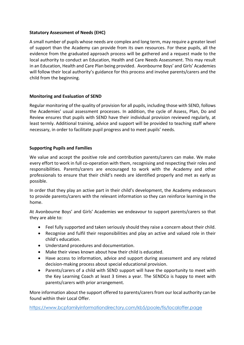## **Statutory Assessment of Needs (EHC)**

A small number of pupils whose needs are complex and long term, may require a greater level of support than the Academy can provide from its own resources. For these pupils, all the evidence from the graduated approach process will be gathered and a request made to the local authority to conduct an Education, Health and Care Needs Assessment. This may result in an Education, Health and Care Plan being provided. Avonbourne Boys' and Girls' Academies will follow their local authority's guidance for this process and involve parents/carers and the child from the beginning.

## **Monitoring and Evaluation of SEND**

Regular monitoring of the quality of provision for all pupils, including those with SEND, follows the Academies' usual assessment processes. In addition, the cycle of Assess, Plan, Do and Review ensures that pupils with SEND have their individual provision reviewed regularly, at least termly. Additional training, advice and support will be provided to teaching staff where necessary, in order to facilitate pupil progress and to meet pupils' needs.

## **Supporting Pupils and Families**

We value and accept the positive role and contribution parents/carers can make. We make every effort to work in full co-operation with them, recognising and respecting their roles and responsibilities. Parents/carers are encouraged to work with the Academy and other professionals to ensure that their child's needs are identified properly and met as early as possible.

In order that they play an active part in their child's development, the Academy endeavours to provide parents/carers with the relevant information so they can reinforce learning in the home.

At Avonbourne Boys' and Girls' Academies we endeavour to support parents/carers so that they are able to:

- Feel fully supported and taken seriously should they raise a concern about their child.
- Recognise and fulfil their responsibilities and play an active and valued role in their child's education.
- Understand procedures and documentation.
- Make their views known about how their child is educated.
- Have access to information, advice and support during assessment and any related decision-making process about special educational provision.
- Parents/carers of a child with SEND support will have the opportunity to meet with the Key Learning Coach at least 3 times a year. The SENDCo is happy to meet with parents/carers with prior arrangement.

More information about the support offered to parents/carers from our local authority can be found within their Local Offer.

<https://www.bcpfamilyinformationdirectory.com/kb5/poole/fis/localoffer.page>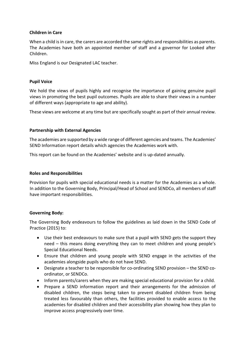#### **Children in Care**

When a child is in care, the carers are accorded the same rights and responsibilities as parents. The Academies have both an appointed member of staff and a governor for Looked after Children.

Miss England is our Designated LAC teacher.

#### **Pupil Voice**

We hold the views of pupils highly and recognise the importance of gaining genuine pupil views in promoting the best pupil outcomes. Pupils are able to share their views in a number of different ways (appropriate to age and ability).

These views are welcome at any time but are specifically sought as part of their annual review.

#### **Partnership with External Agencies**

The academies are supported by a wide range of different agencies and teams. The Academies' SEND Information report details which agencies the Academies work with.

This report can be found on the Academies' website and is up-dated annually.

#### **Roles and Responsibilities**

Provision for pupils with special educational needs is a matter for the Academies as a whole. In addition to the Governing Body, Principal/Head of School and SENDCo, all members of staff have important responsibilities.

#### **Governing Body:**

The Governing Body endeavours to follow the guidelines as laid down in the SEND Code of Practice (2015) to:

- Use their best endeavours to make sure that a pupil with SEND gets the support they need – this means doing everything they can to meet children and young people's Special Educational Needs.
- Ensure that children and young people with SEND engage in the activities of the academies alongside pupils who do not have SEND.
- Designate a teacher to be responsible for co-ordinating SEND provision the SEND coordinator, or SENDCo.
- Inform parents/carers when they are making special educational provision for a child.
- Prepare a SEND information report and their arrangements for the admission of disabled children, the steps being taken to prevent disabled children from being treated less favourably than others, the facilities provided to enable access to the academies for disabled children and their accessibility plan showing how they plan to improve access progressively over time.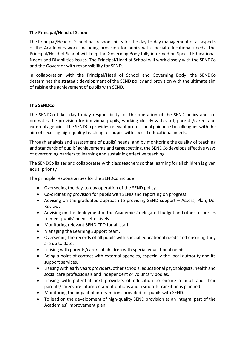#### **The Principal/Head of School**

The Principal/Head of School has responsibility for the day-to-day management of all aspects of the Academies work, including provision for pupils with special educational needs. The Principal/Head of School will keep the Governing Body fully informed on Special Educational Needs and Disabilities issues. The Principal/Head of School will work closely with the SENDCo and the Governor with responsibility for SEND.

In collaboration with the Principal/Head of School and Governing Body, the SENDCo determines the strategic development of the SEND policy and provision with the ultimate aim of raising the achievement of pupils with SEND.

#### **The SENDCo**

The SENDCo takes day-to-day responsibility for the operation of the SEND policy and coordinates the provision for individual pupils, working closely with staff, parents/carers and external agencies. The SENDCo provides relevant professional guidance to colleagues with the aim of securing high-quality teaching for pupils with special educational needs.

Through analysis and assessment of pupils' needs, and by monitoring the quality of teaching and standards of pupils' achievements and target setting, the SENDCo develops effective ways of overcoming barriers to learning and sustaining effective teaching.

The SENDCo liaises and collaborates with class teachers so that learning for all children is given equal priority.

The principle responsibilities for the SENDCo include:

- Overseeing the day-to-day operation of the SEND policy.
- Co-ordinating provision for pupils with SEND and reporting on progress.
- Advising on the graduated approach to providing SEND support Assess, Plan, Do, Review.
- Advising on the deployment of the Academies' delegated budget and other resources to meet pupils' needs effectively.
- Monitoring relevant SEND CPD for all staff.
- Managing the Learning Support team.
- Overseeing the records of all pupils with special educational needs and ensuring they are up to date.
- Liaising with parents/carers of children with special educational needs.
- Being a point of contact with external agencies, especially the local authority and its support services.
- Liaising with early years providers, other schools, educational psychologists, health and social care professionals and independent or voluntary bodies.
- Liaising with potential next providers of education to ensure a pupil and their parents/carers are informed about options and a smooth transition is planned.
- Monitoring the impact of interventions provided for pupils with SEND.
- To lead on the development of high-quality SEND provision as an integral part of the Academies' improvement plan.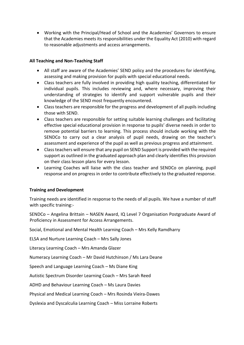• Working with the Principal/Head of School and the Academies' Governors to ensure that the Academies meets its responsibilities under the Equality Act (2010) with regard to reasonable adjustments and access arrangements.

## **All Teaching and Non-Teaching Staff**

- All staff are aware of the Academies' SEND policy and the procedures for identifying, assessing and making provision for pupils with special educational needs.
- Class teachers are fully involved in providing high quality teaching, differentiated for individual pupils. This includes reviewing and, where necessary, improving their understanding of strategies to identify and support vulnerable pupils and their knowledge of the SEND most frequently encountered.
- Class teachers are responsible for the progress and development of all pupils including those with SEND.
- Class teachers are responsible for setting suitable learning challenges and facilitating effective special educational provision in response to pupils' diverse needs in order to remove potential barriers to learning. This process should include working with the SENDCo to carry out a clear analysis of pupil needs, drawing on the teacher's assessment and experience of the pupil as well as previous progress and attainment.
- Class teachers will ensure that any pupil on SEND Support is provided with the required support as outlined in the graduated approach plan and clearly identifies this provision on their class lesson plans for every lesson.
- Learning Coaches will liaise with the class teacher and SENDCo on planning, pupil response and on progress in order to contribute effectively to the graduated response.

## **Training and Development**

Training needs are identified in response to the needs of all pupils. We have a number of staff with specific training:-

SENDCo – Angelina Brittain – NASEN Award, IQ Level 7 Organisation Postgraduate Award of Proficiency in Assessment for Access Arrangements.

Social, Emotional and Mental Health Learning Coach – Mrs Kelly Ramdharry

ELSA and Nurture Learning Coach – Mrs Sally Jones

Literacy Learning Coach – Mrs Amanda Glazer

Numeracy Learning Coach – Mr David Hutchinson / Ms Lara Deane

Speech and Language Learning Coach – Ms Diane King

Autistic Spectrum Disorder Learning Coach – Mrs Sarah Reed

ADHD and Behaviour Learning Coach – Ms Laura Davies

Physical and Medical Learning Coach – Mrs Rosinda Vieira-Dawes

Dyslexia and Dyscalculia Learning Coach – Miss Lorraine Roberts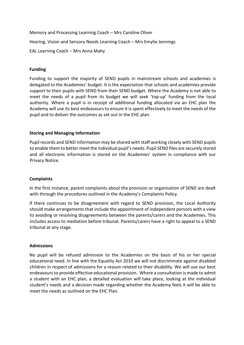Memory and Processing Learning Coach – Mrs Caroline Oliver Hearing, Vision and Sensory Needs Learning Coach – Mrs Emylie Jennings EAL Learning Coach – Mrs Anna Mahy

## **Funding**

Funding to support the majority of SEND pupils in mainstream schools and academies is delegated to the Academies' budget. It is the expectation that schools and academies provide support to their pupils with SEND from their SEND budget. Where the Academy is not able to meet the needs of a pupil from its budget we will seek 'top-up' funding from the local authority. Where a pupil is in receipt of additional funding allocated via an EHC plan the Academy will use its best endeavours to ensure it is spent effectively to meet the needs of the pupil and to deliver the outcomes as set out in the EHC plan.

#### **Storing and Managing Information**

Pupil records and SEND information may be shared with staff working closely with SEND pupils to enable them to better meet the individual pupil's needs. Pupil SEND files are securely stored and all electronic information is stored on the Academies' system in compliance with our Privacy Notice.

#### **Complaints**

In the first instance, parent complaints about the provision or organisation of SEND are dealt with through the procedures outlined in the Academy's Complaints Policy.

If there continues to be disagreement with regard to SEND provision, the Local Authority should make arrangements that include the appointment of independent persons with a view to avoiding or resolving disagreements between the parents/carers and the Academies. This includes access to mediation before tribunal. Parents/carers have a right to appeal to a SEND tribunal at any stage.

#### **Admissions**

No pupil will be refused admission to the Academies on the basis of his or her special educational need. In line with the Equality Act 2010 we will not discriminate against disabled children in respect of admissions for a reason related to their disability. We will use our best endeavours to provide effective educational provision. Where a consultation is made to admit a student with an EHC plan, a detailed evaluation will take place, looking at the individual student's needs and a decision made regarding whether the Academy feels it will be able to meet the needs as outlined on the EHC Plan.